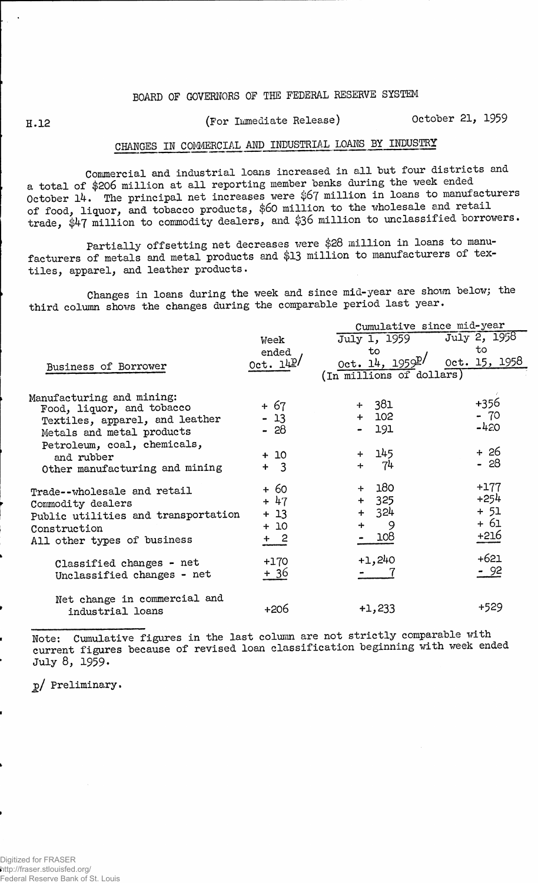## **BOARD OF GOVERNORS OF THE FEDERAL RESERVE SYSTEM**

## **B.12 (For Immediate Release) October 21, 1959**

## **CHANGES IN COMMERCIAL AMD INDUSTRIAL LOAMS BY INDUSTRY**

**Commercial and industrial loans increased in all but four districts and a total of \$206 million at all reporting member banks during the week ended October l4. The principal net increases were \$67 million in loans to manufacturers of food, liquor, and tobacco products, \$60 million to the wholesale and retail trade, \$47 million to commodity dealers, and \$36 million to unclassified borrowers.**

**Partially offsetting net decreases were \$28 million in loans to manufacturers of metals and metal products and \$13 million to manufacturers of textiles, apparel, and leather products.**

**Changes in loans during the week and since mid-year are shown below; the third column shows the changes during the comparable period last year.**

|                                                          |                | Cumulative since mid-year      |                  |  |  |  |  |  |
|----------------------------------------------------------|----------------|--------------------------------|------------------|--|--|--|--|--|
|                                                          | Week           | July 1, 1959                   | July 2, 1958     |  |  |  |  |  |
|                                                          | ended          | to                             | to               |  |  |  |  |  |
| Business of Borrower                                     | 0ct. 14P       | $0ct. 14, 1959$ <sup>p</sup> / | 0ct. 15, 1958    |  |  |  |  |  |
|                                                          |                | (In millions of dollars)       |                  |  |  |  |  |  |
| Manufacturing and mining:                                |                |                                |                  |  |  |  |  |  |
| Food, liquor, and tobacco                                | + 67           | $+ 381$                        | +356             |  |  |  |  |  |
| Textiles, apparel, and leather                           | $-13$          | $+ 102$                        | $-70$<br>$-420$  |  |  |  |  |  |
| Metals and metal products                                | - 28           | 191                            |                  |  |  |  |  |  |
| Petroleum, coal, chemicals,<br>and rubber                | $+10$          | 145<br>$+$                     | + 26<br>$-28$    |  |  |  |  |  |
| Other manufacturing and mining                           | $+$ 3          | 74<br>$+$                      |                  |  |  |  |  |  |
| Trade--wholesale and retail                              | $+60$<br>$+47$ | 180<br>325<br>$+$              | $+177$<br>$+254$ |  |  |  |  |  |
| Commodity dealers<br>Public utilities and transportation | $+13$          | 324<br>$+$                     | $+ 51$           |  |  |  |  |  |
| Construction                                             | $+10$          | 9<br>$\div$                    | + 61             |  |  |  |  |  |
| All other types of business                              | $+2$           | 108                            | +216             |  |  |  |  |  |
| Classified changes - net<br>Unclassified changes - net   | $+170$<br>+ 36 | $+1,240$                       | $+621$<br>- 92   |  |  |  |  |  |
| Net change in commercial and<br>industrial loans         | +206           | $+1,233$                       | +529             |  |  |  |  |  |

Note: Cumulative figures in the last column are not strictly comparable with **current figures because of revised loan classification beginning with week ended July 8, 1959.**

**j>/ Preliminary.**